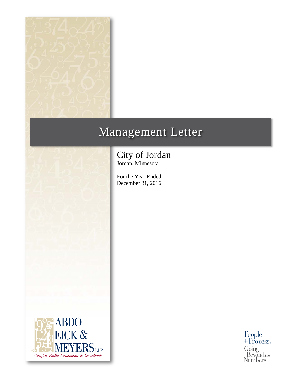

# Management Letter

City of Jordan Jordan, Minnesota

For the Year Ended December 31, 2016



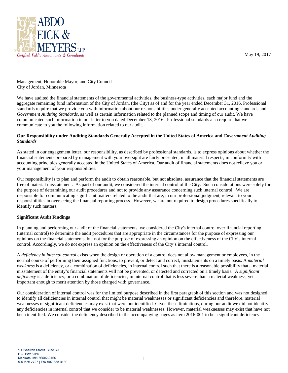

May 19, 2017

Management, Honorable Mayor, and City Council City of Jordan, Minnesota

We have audited the financial statements of the governmental activities, the business-type activities, each major fund and the aggregate remaining fund information of the City of Jordan, (the City) as of and for the year ended December 31, 2016. Professional standards require that we provide you with information about our responsibilities under generally accepted accounting standards and *Government Auditing Standards,* as well as certain information related to the planned scope and timing of our audit. We have communicated such information in our letter to you dated December 13, 2016. Professional standards also require that we communicate to you the following information related to our audit.

# **Our Responsibility under Auditing Standards Generally Accepted in the United States of America and** *Government Auditing Standards*

As stated in our engagement letter, our responsibility, as described by professional standards, is to express opinions about whether the financial statements prepared by management with your oversight are fairly presented, in all material respects, in conformity with accounting principles generally accepted in the United States of America. Our audit of financial statements does not relieve you or your management of your responsibilities.

Our responsibility is to plan and perform the audit to obtain reasonable, but not absolute, assurance that the financial statements are free of material misstatement. As part of our audit, we considered the internal control of the City. Such considerations were solely for the purpose of determining our audit procedures and not to provide any assurance concerning such internal control. We are responsible for communicating significant matters related to the audit that are, in our professional judgment, relevant to your responsibilities in overseeing the financial reporting process. However, we are not required to design procedures specifically to identify such matters.

# **Significant Audit Findings**

In planning and performing our audit of the financial statements, we considered the City's internal control over financial reporting (internal control) to determine the audit procedures that are appropriate in the circumstances for the purpose of expressing our opinions on the financial statements, but not for the purpose of expressing an opinion on the effectiveness of the City's internal control. Accordingly, we do not express an opinion on the effectiveness of the City's internal control.

A *deficiency in internal control* exists when the design or operation of a control does not allow management or employees, in the normal course of performing their assigned functions, to prevent, or detect and correct, misstatements on a timely basis. A *material weakness* is a deficiency, or a combination of deficiencies, in internal control such that there is a reasonable possibility that a material misstatement of the entity's financial statements will not be prevented, or detected and corrected on a timely basis. A *significant deficiency* is a deficiency, or a combination of deficiencies, in internal control that is less severe than a material weakness, yet important enough to merit attention by those charged with governance.

Our consideration of internal control was for the limited purpose described in the first paragraph of this section and was not designed to identify all deficiencies in internal control that might be material weaknesses or significant deficiencies and therefore, material weaknesses or significant deficiencies may exist that were not identified. Given these limitations, during our audit we did not identify any deficiencies in internal control that we consider to be material weaknesses. However, material weaknesses may exist that have not been identified. We consider the deficiency described in the accompanying pages as item 2016-001 to be a significant deficiency.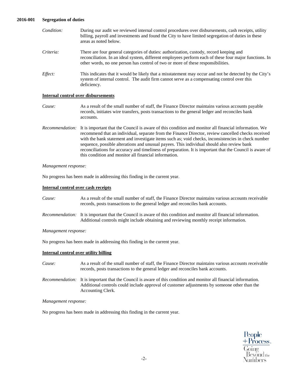#### **2016-001 Segregation of duties**

| Condition:     | During our audit we reviewed internal control procedures over disbursements, cash receipts, utility<br>billing, payroll and investments and found the City to have limited segregation of duties in these<br>areas as noted below.                                                    |
|----------------|---------------------------------------------------------------------------------------------------------------------------------------------------------------------------------------------------------------------------------------------------------------------------------------|
| Criteria:      | There are four general categories of duties: authorization, custody, record keeping and<br>reconciliation. In an ideal system, different employees perform each of these four major functions. In<br>other words, no one person has control of two or more of these responsibilities. |
| <i>Effect:</i> | This indicates that it would be likely that a misstatement may occur and not be detected by the City's<br>system of internal control. The audit firm cannot serve as a compensating control over this<br>deficiency.                                                                  |

#### **Internal control over disbursements**

- *Cause:* As a result of the small number of staff, the Finance Director maintains various accounts payable records, initiates wire transfers, posts transactions to the general ledger and reconciles bank accounts.
- *Recommendation:* It is important that the Council is aware of this condition and monitor all financial information. We recommend that an individual, separate from the Finance Director, review cancelled checks received with the bank statement and investigate items such as; void checks, inconsistencies in check number sequence, possible alterations and unusual payees. This individual should also review bank reconciliations for accuracy and timeliness of preparation. It is important that the Council is aware of this condition and monitor all financial information.

#### *Management response:*

No progress has been made in addressing this finding in the current year.

#### **Internal control over cash receipts**

- *Cause:* As a result of the small number of staff, the Finance Director maintains various accounts receivable records, posts transactions to the general ledger and reconciles bank accounts.
- *Recommendation:* It is important that the Council is aware of this condition and monitor all financial information. Additional controls might include obtaining and reviewing monthly receipt information.

#### *Management response:*

No progress has been made in addressing this finding in the current year.

#### **Internal control over utility billing**

- *Cause:* As a result of the small number of staff, the Finance Director maintains various accounts receivable records, posts transactions to the general ledger and reconciles bank accounts.
- *Recommendation:* It is important that the Council is aware of this condition and monitor all financial information. Additional controls could include approval of customer adjustments by someone other than the Accounting Clerk.

#### *Management response:*

No progress has been made in addressing this finding in the current year.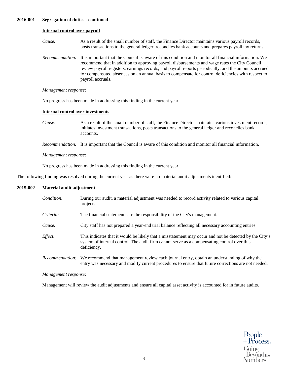# **2016-001 Segregation of duties - continued**

#### **Internal control over payroll**

- *Cause:* As a result of the small number of staff, the Finance Director maintains various payroll records, posts transactions to the general ledger, reconciles bank accounts and prepares payroll tax returns.
- *Recommendation:* It is important that the Council is aware of this condition and monitor all financial information. We recommend that in addition to approving payroll disbursements and wage rates the City Council review payroll registers, earnings records, and payroll reports periodically, and the amounts accrued for compensated absences on an annual basis to compensate for control deficiencies with respect to payroll accruals.

#### *Management response:*

No progress has been made in addressing this finding in the current year.

#### **Internal control over investments**

*Cause:* As a result of the small number of staff, the Finance Director maintains various investment records, initiates investment transactions, posts transactions to the general ledger and reconciles bank accounts.

*Recommendation:* It is important that the Council is aware of this condition and monitor all financial information.

#### *Management response:*

No progress has been made in addressing this finding in the current year.

The following finding was resolved during the current year as there were no material audit adjustments identified:

| 2015-002 | Material audit adjustment |                                                                                                                                                                                                                      |  |  |  |  |  |  |
|----------|---------------------------|----------------------------------------------------------------------------------------------------------------------------------------------------------------------------------------------------------------------|--|--|--|--|--|--|
|          | Condition:                | During our audit, a material adjustment was needed to record activity related to various capital<br>projects.                                                                                                        |  |  |  |  |  |  |
|          | Criteria:                 | The financial statements are the responsibility of the City's management.                                                                                                                                            |  |  |  |  |  |  |
|          | Cause:                    | City staff has not prepared a year-end trial balance reflecting all necessary accounting entries.                                                                                                                    |  |  |  |  |  |  |
|          | <i>Effect:</i>            | This indicates that it would be likely that a misstatement may occur and not be detected by the City's<br>system of internal control. The audit firm cannot serve as a compensating control over this<br>deficiency. |  |  |  |  |  |  |
|          |                           | Recommendation: We recommend that management review each journal entry, obtain an understanding of why the<br>entry was necessary and modify current procedures to ensure that future corrections are not needed.    |  |  |  |  |  |  |

#### *Management response:*

Management will review the audit adjustments and ensure all capital asset activity is accounted for in future audits.

People  $+$ Process.  $\frac{1}{2}$ oing Bevond <sub>the</sub> Numbers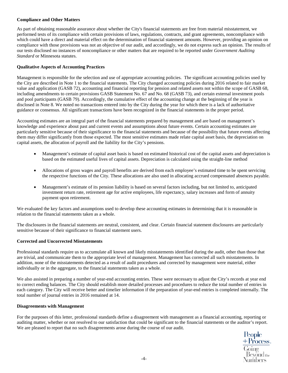# **Compliance and Other Matters**

As part of obtaining reasonable assurance about whether the City's financial statements are free from material misstatement, we performed tests of its compliance with certain provisions of laws, regulations, contracts, and grant agreements, noncompliance with which could have a direct and material effect on the determination of financial statement amounts. However, providing an opinion on compliance with those provisions was not an objective of our audit, and accordingly, we do not express such an opinion. The results of our tests disclosed no instances of noncompliance or other matters that are required to be reported under *Government Auditing Standard* or Minnesota statutes.

# **Qualitative Aspects of Accounting Practices**

Management is responsible for the selection and use of appropriate accounting policies. The significant accounting policies used by the City are described in Note 1 to the financial statements. The City changed accounting policies during 2016 related to fair market value and application (GASB 72), accounting and financial reporting for pension and related assets not within the scope of GASB 68, including amendments to certain provisions GASB Statement No. 67 and No. 68 (GASB 73), and certain external investment pools and pool participants (GASB 79). Accordingly, the cumulative effect of the accounting change at the beginning of the year is disclosed in Note 8. We noted no transactions entered into by the City during the year for which there is a lack of authoritative guidance or consensus. All significant transactions have been recognized in the financial statements in the proper period.

Accounting estimates are an integral part of the financial statements prepared by management and are based on management's knowledge and experience about past and current events and assumptions about future events. Certain accounting estimates are particularly sensitive because of their significance to the financial statements and because of the possibility that future events affecting them may differ significantly from those expected. The most sensitive estimates made relate capital asset basis, the depreciation on capital assets, the allocation of payroll and the liability for the City's pensions.

- Management's estimate of capital asset basis is based on estimated historical cost of the capital assets and depreciation is based on the estimated useful lives of capital assets. Depreciation is calculated using the straight-line method
- Allocations of gross wages and payroll benefits are derived from each employee's estimated time to be spent servicing the respective functions of the City. These allocations are also used in allocating accrued compensated absences payable.
- Management's estimate of its pension liability is based on several factors including, but not limited to, anticipated investment return rate, retirement age for active employees, life expectancy, salary increases and form of annuity payment upon retirement.

We evaluated the key factors and assumptions used to develop these accounting estimates in determining that it is reasonable in relation to the financial statements taken as a whole.

The disclosures in the financial statements are neutral, consistent, and clear. Certain financial statement disclosures are particularly sensitive because of their significance to financial statement users.

# **Corrected and Uncorrected Misstatements**

Professional standards require us to accumulate all known and likely misstatements identified during the audit, other than those that are trivial, and communicate them to the appropriate level of management. Management has corrected all such misstatements. In addition, none of the misstatements detected as a result of audit procedures and corrected by management were material, either individually or in the aggregate, to the financial statements taken as a whole.

We also assisted in preparing a number of year-end accounting entries. These were necessary to adjust the City's records at year end to correct ending balances. The City should establish more detailed processes and procedures to reduce the total number of entries in each category. The City will receive better and timelier information if the preparation of year-end entries is completed internally. The total number of journal entries in 2016 remained at 14.

# **Disagreements with Management**

For the purposes of this letter, professional standards define a disagreement with management as a financial accounting, reporting or auditing matter, whether or not resolved to our satisfaction that could be significant to the financial statements or the auditor's report. We are pleased to report that no such disagreements arose during the course of our audit.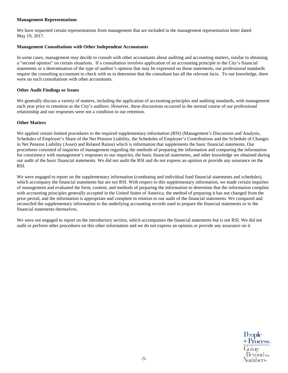# **Management Representations**

We have requested certain representations from management that are included in the management representation letter dated May 19, 2017.

# **Management Consultations with Other Independent Accountants**

In some cases, management may decide to consult with other accountants about auditing and accounting matters, similar to obtaining a "second opinion" on certain situations. If a consultation involves application of an accounting principle to the City's financial statements or a determination of the type of auditor's opinion that may be expressed on those statements, our professional standards require the consulting accountant to check with us to determine that the consultant has all the relevant facts. To our knowledge, there were no such consultations with other accountants.

# **Other Audit Findings or Issues**

We generally discuss a variety of matters, including the application of accounting principles and auditing standards, with management each year prior to retention as the City's auditors. However, these discussions occurred in the normal course of our professional relationship and our responses were not a condition to our retention.

# **Other Matters**

We applied certain limited procedures to the required supplementary information (RSI) (Management's Discussion and Analysis, Schedules of Employer's Share of the Net Pension Liability, the Schedules of Employer's Contributions and the Schedule of Changes in Net Pension Liability (Asset) and Related Ratios) which is information that supplements the basic financial statements. Our procedures consisted of inquiries of management regarding the methods of preparing the information and comparing the information for consistency with management's responses to our inquiries, the basic financial statements, and other knowledge we obtained during our audit of the basic financial statements. We did not audit the RSI and do not express an opinion or provide any assurance on the RSI.

We were engaged to report on the supplementary information (combining and individual fund financial statements and schedules), which accompany the financial statements but are not RSI. With respect to this supplementary information, we made certain inquiries of management and evaluated the form, content, and methods of preparing the information to determine that the information complies with accounting principles generally accepted in the United States of America, the method of preparing it has not changed from the prior period, and the information is appropriate and complete in relation to our audit of the financial statements. We compared and reconciled the supplementary information to the underlying accounting records used to prepare the financial statements or to the financial statements themselves.

We were not engaged to report on the introductory section, which accompanies the financial statements but is not RSI. We did not audit or perform other procedures on this other information and we do not express an opinion or provide any assurance on it

> People<br>+Process. Going<br>Bevond<sub>the</sub>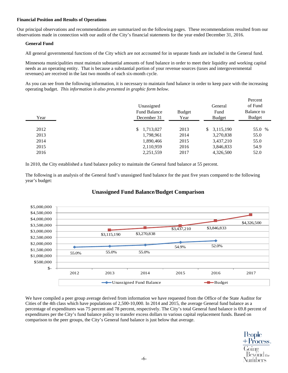# **Financial Position and Results of Operations**

Our principal observations and recommendations are summarized on the following pages. These recommendations resulted from our observations made in connection with our audit of the City's financial statements for the year ended December 31, 2016.

# **General Fund**

All general governmental functions of the City which are not accounted for in separate funds are included in the General fund.

Minnesota municipalities must maintain substantial amounts of fund balance in order to meet their liquidity and working capital needs as an operating entity. That is because a substantial portion of your revenue sources (taxes and intergovernmental revenues) are received in the last two months of each six-month cycle.

As you can see from the following information, it is necessary to maintain fund balance in order to keep pace with the increasing operating budget. *This information is also presented in graphic form below*.

| Year | Unassigned<br><b>Fund Balance</b><br>December 31 | <b>Budget</b><br>Year | General<br>Fund<br><b>Budget</b> | гегсен<br>of Fund<br>Balance to<br><b>Budget</b> |  |
|------|--------------------------------------------------|-----------------------|----------------------------------|--------------------------------------------------|--|
| 2012 | \$1,713,027                                      | 2013                  | 3,115,190<br>S.                  | 55.0 %                                           |  |
| 2013 | 1,798,961                                        | 2014                  | 3,270,838                        | 55.0                                             |  |
| 2014 | 1,890,466                                        | 2015                  | 3,437,210                        | 55.0                                             |  |
| 2015 | 2,110,959                                        | 2016                  | 3,846,833                        | 54.9                                             |  |
| 2016 | 2,251,559                                        | 2017                  | 4,326,500                        | 52.0                                             |  |
|      |                                                  |                       |                                  |                                                  |  |

In 2010, the City established a fund balance policy to maintain the General fund balance at 55 percent.

The following is an analysis of the General fund's unassigned fund balance for the past five years compared to the following year's budget:



# **Unassigned Fund Balance/Budget Comparison**

We have compiled a peer group average derived from information we have requested from the Office of the State Auditor for Cities of the 4th class which have populations of 2,500-10,000. In 2014 and 2015, the average General fund balance as a percentage of expenditures was 75 percent and 78 percent, respectively. The City's total General fund balance is 69.8 percent of expenditures per the City's fund balance policy to transfer excess dollars to various capital replacement funds. Based on comparison to the peer groups, the City's General fund balance is just below that average.

> People + Process. Going Bevond<sub>the</sub> Numbers

Dersont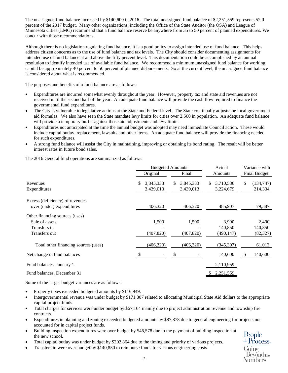The unassigned fund balance increased by \$140,600 in 2016. The total unassigned fund balance of \$2,251,559 represents 52.0 percent of the 2017 budget. Many other organizations, including the Office of the State Auditor (the OSA) and League of Minnesota Cities (LMC) recommend that a fund balance reserve be anywhere from 35 to 50 percent of planned expenditures. We concur with those recommendations.

Although there is no legislation regulating fund balance, it is a good policy to assign intended use of fund balance. This helps address citizen concerns as to the use of fund balance and tax levels. The City should consider documenting assignments for intended use of fund balance at and above the fifty percent level. This documentation could be accomplished by an annual resolution to identify intended use of available fund balance. We recommend a minimum unassigned fund balance for working capital be approximately 40 percent to 50 percent of planned disbursements. So at the current level, the unassigned fund balance is considered about what is recommended.

The purposes and benefits of a fund balance are as follows:

- Expenditures are incurred somewhat evenly throughout the year. However, property tax and state aid revenues are not received until the second half of the year. An adequate fund balance will provide the cash flow required to finance the governmental fund expenditures.
- The City is vulnerable to legislative actions at the State and Federal level. The State continually adjusts the local government aid formulas. We also have seen the State mandate levy limits for cities over 2,500 in population. An adequate fund balance will provide a temporary buffer against those aid adjustments and levy limits.
- Expenditures not anticipated at the time the annual budget was adopted may need immediate Council action. These would include capital outlay, replacement, lawsuits and other items. An adequate fund balance will provide the financing needed for such expenditures.
- A strong fund balance will assist the City in maintaining, improving or obtaining its bond rating. The result will be better interest rates in future bond sales.

The 2016 General fund operations are summarized as follows:

|                                      | <b>Budgeted Amounts</b> |            |    | Actual     |   | Variance with |              |              |
|--------------------------------------|-------------------------|------------|----|------------|---|---------------|--------------|--------------|
|                                      |                         | Original   |    | Final      |   | Amounts       |              | Final Budget |
| Revenues                             | \$                      | 3,845,333  | S. | 3,845,333  | S | 3,710,586     | $\mathbb{S}$ | (134, 747)   |
| Expenditures                         |                         | 3,439,013  |    | 3,439,013  |   | 3,224,679     |              | 214,334      |
| Excess (deficiency) of revenues      |                         |            |    |            |   |               |              |              |
| over (under) expenditures            |                         | 406,320    |    | 406,320    |   | 485,907       |              | 79,587       |
| Other financing sources (uses)       |                         |            |    |            |   |               |              |              |
| Sale of assets                       |                         | 1,500      |    | 1,500      |   | 3,990         |              | 2,490        |
| Transfers in                         |                         |            |    |            |   | 140,850       |              | 140,850      |
| Transfers out                        |                         | (407, 820) |    | (407, 820) |   | (490,147)     |              | (82, 327)    |
| Total other financing sources (uses) |                         | (406, 320) |    | (406,320)  |   | (345, 307)    |              | 61,013       |
| Net change in fund balances          |                         |            |    |            |   | 140,600       | - \$         | 140,600      |
| Fund balances, January 1             |                         |            |    |            |   | 2,110,959     |              |              |
| Fund balances, December 31           |                         |            |    |            |   | 2,251,559     |              |              |

Some of the larger budget variances are as follows:

- Property taxes exceeded budgeted amounts by \$116,949.
- Intergovernmental revenue was under budget by \$171,807 related to allocating Municipal State Aid dollars to the appropriate capital project funds.
- Total charges for services were under budget by \$67,164 mainly due to project administration revenue and township fire contracts.
- Expenditures in planning and zoning exceeded budgeted amounts by \$87,878 due to general engineering for projects not accounted for in capital project funds.

People  $+$ Process. Going **Bevond** the Numbers

- Building inspection expenditures were over budget by \$46,578 due to the payment of building inspection at the new school.
- Total capital outlay was under budget by \$202,864 due to the timing and priority of various projects.
- Transfers in were over budget by \$140,850 to reimburse funds for various engineering costs.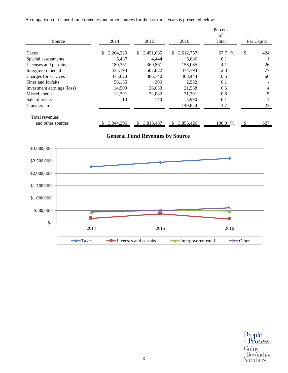A comparison of General fund revenues and other sources for the last three years is presented below:

|                            |                 |                 |                  | Percent<br>of |            |     |
|----------------------------|-----------------|-----------------|------------------|---------------|------------|-----|
| Source                     | 2014            | 2015            | 2016             | Total         | Per Capita |     |
| Taxes                      | \$<br>2,264,229 | 2,451,065<br>S. | 2,612,757<br>\$. | 67.7 %        | \$         | 424 |
| Special assessments        | 5,437           | 4,444           | 5,686            | 0.1           |            |     |
| Licenses and permits       | 180,351         | 369,861         | 158,085          | 4.1           |            | 26  |
| Intergovernmental          | 435,194         | 507,822         | 474,793          | 12.3          |            | 77  |
| Charges for services       | 375,620         | 386,740         | 403,444          | 10.5          |            | 66  |
| Fines and forfeits         | 56,155          | 300             | 2,582            | 0.1           |            |     |
| Investment earnings (loss) | 14,509          | 26,033          | 21,538           | 0.6           |            | 4   |
| Miscellaneous              | 12,791          | 72,082          | 31,701           | 0.8           |            | 5   |
| Sale of assets             | 10              | 140             | 3,990            | 0.1           |            |     |
| Transfers in               |                 |                 | 140,850          | 3.7           |            | 23  |
| Total revenues             |                 |                 |                  |               |            |     |
| and other sources          | 3,344,296       | 3,818,487<br>S  | 3,855,426<br>S   | 100.0 %       |            | 627 |

**General Fund Revenues by Source**



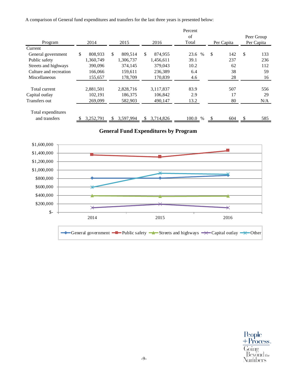A comparison of General fund expenditures and transfers for the last three years is presented below:

|                        |                         |                |                  | Percent      |            |            |
|------------------------|-------------------------|----------------|------------------|--------------|------------|------------|
|                        |                         |                |                  | of           |            | Peer Group |
| Program                | 2014                    | 2015           | 2016             | Total        | Per Capita | Per Capita |
| Current                |                         |                |                  |              |            |            |
| General government     | $\mathbb{S}$<br>808,933 | \$.<br>809,514 | \$<br>874,955    | 23.6<br>$\%$ | \$<br>142  | \$<br>133  |
| Public safety          | 1,360,749               | 1,306,737      | 1,456,611        | 39.1         | 237        | 236        |
| Streets and highways   | 390,096                 | 374,145        | 379,043          | 10.2         | 62         | 112        |
| Culture and recreation | 166.066                 | 159.611        | 236,389          | 6.4          | 38         | 59         |
| <b>Miscellaneous</b>   | 155,657                 | 178,709        | 170,839          | 4.6          | 28         | 16         |
|                        |                         |                |                  |              |            |            |
| Total current          | 2,881,501               | 2,828,716      | 3,117,837        | 83.9         | 507        | 556        |
| Capital outlay         | 102,191                 | 186,375        | 106,842          | 2.9          | 17         | 29         |
| Transfers out          | 269,099                 | 582,903        | 490,147          | 13.2         | 80         | N/A        |
| Total expenditures     |                         |                |                  |              |            |            |
| and transfers          | 3,252,791               | 3,597,994<br>S | 3,714,826<br>\$. | 100.0 %      | 604        | 585        |

# **General Fund Expenditures by Program**

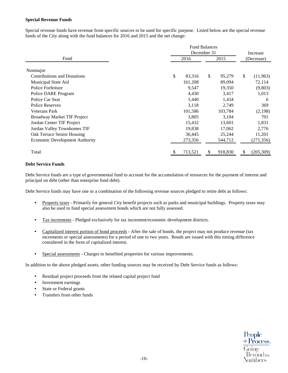# **Special Revenue Funds**

Special revenue funds have revenue from specific sources to be used for specific purpose. Listed below are the special revenue funds of the City along with the fund balances for 2016 and 2015 and the net change:

|                                       |              | <b>Fund Balances</b> |                  |  |  |  |  |
|---------------------------------------|--------------|----------------------|------------------|--|--|--|--|
| Fund                                  | December 31  | Increase             |                  |  |  |  |  |
|                                       | 2016         | 2015                 | (Decrease)       |  |  |  |  |
| Nonmajor                              |              |                      |                  |  |  |  |  |
| <b>Contributions and Donations</b>    | \$<br>83,316 | \$<br>95,279         | \$<br>(11,963)   |  |  |  |  |
| Municipal State Aid                   | 161,208      | 89,094               | 72,114           |  |  |  |  |
| Police Forfeiture                     | 9,547        | 19,350               | (9,803)          |  |  |  |  |
| Police DARE Program                   | 4,430        | 3,417                | 1,013            |  |  |  |  |
| Police Car Seat                       | 1,440        | 1,434                | 6                |  |  |  |  |
| <b>Police Reserves</b>                | 3,118        | 2,749                | 369              |  |  |  |  |
| <b>Veterans Park</b>                  | 101,586      | 103,784              | (2,198)          |  |  |  |  |
| Broadway Market TIF Project           | 3,805        | 3,104                | 701              |  |  |  |  |
| Jordan Center TIF Project             | 15,432       | 13,601               | 1,831            |  |  |  |  |
| Jordan Valley Townhomes TIF           | 19,838       | 17,062               | 2,776            |  |  |  |  |
| Oak Terrace Senior Housing            | 36,445       | 25,244               | 11,201           |  |  |  |  |
| <b>Economic Development Authority</b> | 273,356      | 544,712              | (271, 356)       |  |  |  |  |
| Total                                 | 713,521<br>Ъ | 918,830<br>\$        | (205, 309)<br>\$ |  |  |  |  |

# **Debt Service Funds**

Debt Service funds are a type of governmental fund to account for the accumulation of resources for the payment of interest and principal on debt (other than enterprise fund debt).

Debt Service funds may have one or a combination of the following revenue sources pledged to retire debt as follows:

- Property taxes Primarily for general City benefit projects such as parks and municipal buildings. Property taxes may also be used to fund special assessment bonds which are not fully assessed.
- Tax increments Pledged exclusively for tax increment/economic development districts.
- Capitalized interest portion of bond proceeds After the sale of bonds, the project may not produce revenue (tax increments or special assessments) for a period of one to two years. Bonds are issued with this timing difference considered in the form of capitalized interest.
- Special assessments Charges to benefited properties for various improvements.

In addition to the above pledged assets, other funding sources may be received by Debt Service funds as follows:

- Residual project proceeds from the related capital project fund
- Investment earnings
- State or Federal grants
- Transfers from other funds

People  $+$  Process.  $\frac{1}{2}$ oing  $\operatorname{Bevond}$  the Numbers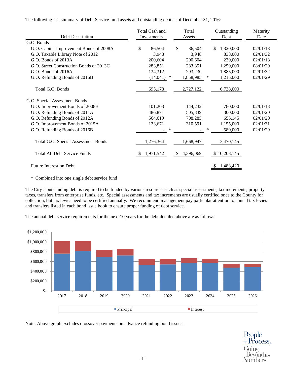The following is a summary of Debt Service fund assets and outstanding debt as of December 31, 2016:

| Debt Description                        | Total Cash and<br>Investments |     | Total<br>Assets |   | Outstanding<br>Debt | Maturity<br>Date |
|-----------------------------------------|-------------------------------|-----|-----------------|---|---------------------|------------------|
| G.O. Bonds                              |                               |     |                 |   |                     |                  |
| G.O. Capital Improvement Bonds of 2008A | \$<br>86,504                  | \$  | 86,504          |   | 1,320,000<br>\$     | 02/01/18         |
| G.O. Taxable Library Note of 2012       | 3,948                         |     | 3,948           |   | 838,000             | 02/01/32         |
| G.O. Bonds of 2013A                     | 200,604                       |     | 200,604         |   | 230,000             | 02/01/18         |
| G.O. Street Construction Bonds of 2013C | 283,851                       |     | 283,851         |   | 1,250,000           | 08/01/29         |
| G.O. Bonds of 2016A                     | 134,312                       |     | 293,230         |   | 1,885,000           | 02/01/32         |
| G.O. Refunding Bonds of 2016B           | (14,041)<br>∗                 |     | 1,858,985       | ∗ | 1,215,000           | 02/01/29         |
| Total G.O. Bonds                        | 695,178                       |     | 2,727,122       |   | 6,738,000           |                  |
| G.O. Special Assessment Bonds           |                               |     |                 |   |                     |                  |
| G.O. Improvement Bonds of 2008B         | 101,203                       |     | 144,232         |   | 780,000             | 02/01/18         |
| G.O. Refunding Bonds of 2011A           | 486,871                       |     | 505,839         |   | 300,000             | 02/01/20         |
| G.O. Refunding Bonds of 2012A           | 564,619                       |     | 708,285         |   | 655,145             | 02/01/20         |
| G.O. Improvement Bonds of 2015A         | 123,671                       |     | 310,591         |   | 1,155,000           | 02/01/31         |
| G.O. Refunding Bonds of 2016B           | ∗                             |     |                 | ∗ | 580,000             | 02/01/29         |
| Total G.O. Special Assessment Bonds     | 1,276,364                     |     | 1,668,947       |   | 3,470,145           |                  |
| <b>Total All Debt Service Funds</b>     | 1,971,542                     | \$. | 4,396,069       |   | \$10,208,145        |                  |
| <b>Future Interest on Debt</b>          |                               |     |                 |   | 1,483,420<br>S      |                  |

\* Combined into one single debt service fund

The City's outstanding debt is required to be funded by various resources such as special assessments, tax increments, property taxes, transfers from enterprise funds, etc. Special assessments and tax increments are usually certified once to the County for collection, but tax levies need to be certified annually. We recommend management pay particular attention to annual tax levies and transfers listed in each bond issue book to ensure proper funding of debt service.

The annual debt service requirements for the next 10 years for the debt detailed above are as follows:

![](_page_11_Figure_5.jpeg)

Note: Above graph excludes crossover payments on advance refunding bond issues.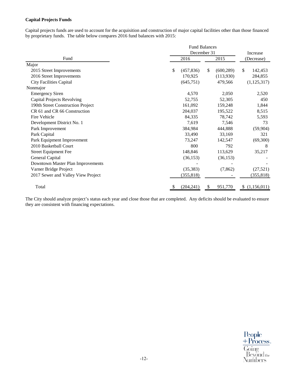# **Capital Projects Funds**

Capital projects funds are used to account for the acquisition and construction of major capital facilities other than those financed by proprietary funds. The table below compares 2016 fund balances with 2015:

|                                    | <b>Fund Balances</b> |                  |                         |
|------------------------------------|----------------------|------------------|-------------------------|
|                                    | December 31          | Increase         |                         |
| Fund                               | 2016                 | 2015             | (Decrease)              |
| Major                              |                      |                  |                         |
| 2015 Street Improvements           | \$<br>(457, 836)     | \$<br>(600, 289) | $\mathbb{S}$<br>142,453 |
| 2016 Street Improvements           | 170,925              | (113,930)        | 284,855                 |
| <b>City Facilities Capital</b>     | (645,751)            | 479,566          | (1, 125, 317)           |
| Nonmajor                           |                      |                  |                         |
| <b>Emergency Siren</b>             | 4,570                | 2,050            | 2,520                   |
| <b>Capital Projects Revolving</b>  | 52,755               | 52,305           | 450                     |
| 190th Street Construction Project  | 161,092              | 159,248          | 1,844                   |
| CR 61 and CR 66 Construction       | 204,037              | 195,522          | 8,515                   |
| Fire Vehicle                       | 84,335               | 78,742           | 5,593                   |
| Development District No. 1         | 7,619                | 7,546            | 73                      |
| Park Improvement                   | 384,984              | 444,888          | (59, 904)               |
| Park Capital                       | 33,490               | 33,169           | 321                     |
| Park Equipment Improvement         | 73,247               | 142,547          | (69,300)                |
| 2010 Basketball Court              | 800                  | 792              | 8                       |
| <b>Street Equipment Fee</b>        | 148,846              | 113,629          | 35,217                  |
| General Capital                    | (36, 153)            | (36, 153)        |                         |
| Downtown Master Plan Improvements  |                      |                  |                         |
| Varner Bridge Project              | (35, 383)            | (7, 862)         | (27, 521)               |
| 2017 Sewer and Valley View Project | (355, 818)           |                  | (355, 818)              |
| Total                              | (204, 241)           | 951,770<br>\$    | (1,156,011)<br>\$       |

The City should analyze project's status each year and close those that are completed. Any deficits should be evaluated to ensure they are consistent with financing expectations.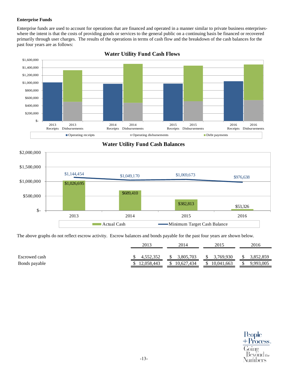# **Enterprise Funds**

Enterprise funds are used to account for operations that are financed and operated in a manner similar to private business enterpriseswhere the intent is that the costs of providing goods or services to the general public on a continuing basis be financed or recovered primarily through user charges. The results of the operations in terms of cash flow and the breakdown of the cash balances for the past four years are as follows:

![](_page_13_Figure_2.jpeg)

**Water Utility Fund Cash Flows**

# **Water Utility Fund Cash Balances**

![](_page_13_Figure_5.jpeg)

The above graphs do not reflect escrow activity. Escrow balances and bonds payable for the past four years are shown below.

|               | 2013       | 2014 |            | 2015 |            | 2016 |           |
|---------------|------------|------|------------|------|------------|------|-----------|
|               |            |      |            |      |            |      |           |
| Escrowed cash | 4,552,352  |      | 3,805,703  |      | 3,769,930  |      | 3,852,859 |
| Bonds payable | 12,058,443 |      | 10.627.434 |      | 10,041,663 |      | 9,993,005 |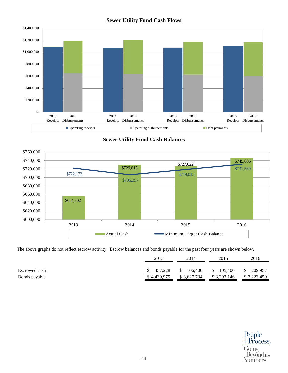# **Sewer Utility Fund Cash Flows**

![](_page_14_Figure_1.jpeg)

**Sewer Utility Fund Cash Balances** 

![](_page_14_Figure_3.jpeg)

The above graphs do not reflect escrow activity. Escrow balances and bonds payable for the past four years are shown below.

|               | 2013        | 2014        | 2015        | 2016        |
|---------------|-------------|-------------|-------------|-------------|
| Escrowed cash | 457.228     | 106,400     | 105.400     | 209.957     |
| Bonds payable | \$4,439,975 | \$3,627,734 | \$3,292,146 | \$3,223,450 |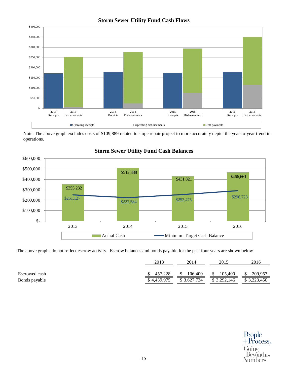![](_page_15_Figure_0.jpeg)

# **Storm Sewer Utility Fund Cash Flows**

Note: The above graph excludes costs of \$109,889 related to slope repair project to more accurately depict the year-to-year trend in operations.

![](_page_15_Figure_3.jpeg)

# **Storm Sewer Utility Fund Cash Balances**

The above graphs do not reflect escrow activity. Escrow balances and bonds payable for the past four years are shown below.

|               | 2013         | 2014      | 2015      | 2016      |
|---------------|--------------|-----------|-----------|-----------|
|               |              |           |           |           |
| Escrowed cash | 7.228<br>457 | 106.400   | 105,400   | 209.957   |
| Bonds payable | 4,439,975    | 3,627,734 | 3,292,146 | 3,223,450 |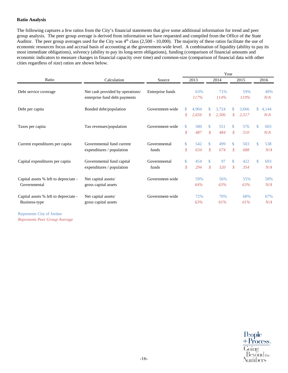# **Ratio Analysis**

The following captures a few ratios from the City's financial statements that give some additional information for trend and peer group analysis. The peer group average is derived from information we have requested and compiled from the Office of the State Auditor. The peer group averages used for the City was  $4<sup>th</sup>$  class (2,500 - 10,000). The majority of these ratios facilitate the use of economic resources focus and accrual basis of accounting at the government-wide level. A combination of liquidity (ability to pay its most immediate obligations), solvency (ability to pay its long-term obligations), funding (comparison of financial amounts and economic indicators to measure changes in financial capacity over time) and common-size (comparison of financial data with other cities regardless of size) ratios are shown below.

| Ratio                                 | Calculation                                                       | Source           | Year               |             |                   |             |               |             |              |            |
|---------------------------------------|-------------------------------------------------------------------|------------------|--------------------|-------------|-------------------|-------------|---------------|-------------|--------------|------------|
|                                       |                                                                   |                  | 2013               |             | 2014              |             | 2015          |             | 2016         |            |
| Debt service coverage                 | Net cash provided by operations/<br>enterprise fund debt payments | Enterprise funds |                    | 63%<br>117% |                   | 71%<br>114% |               | 59%<br>119% |              | 49%<br>N/A |
| Debt per capita                       | Bonded debt/population                                            | Government-wide  | \$                 | 4,904       | \$                | 3.724       | \$            | 3,666       | \$           | 4,144      |
|                                       |                                                                   |                  | \$                 | 2,656       | $\mathcal{S}$     | 2,506       | \$            | 2,517       |              | N/A        |
| Taxes per capita                      | Tax revenues/population                                           | Government-wide  | <sup>\$</sup>      | 580         | $\mathbb{S}$      | 551         | \$.           | 576         | $\mathbb{S}$ | 603        |
|                                       |                                                                   |                  | \$                 | 487         | $\mathcal{S}_{0}$ | 484         | \$            | 510         |              | N/A        |
| Current expenditures per capita       | Governmental fund current                                         | Governmental     | $\mathbf{\hat{S}}$ | 542         | $\mathbb{S}$      | 499         | \$            | 503         | $\mathbb{S}$ | 538        |
|                                       | expenditures / population                                         | funds            | $\mathcal{S}$      | 634         | $\mathcal{S}_{0}$ | 674         | \$            | 688         |              | N/A        |
| Capital expenditures per capita       | Governmental fund capital                                         | Governmental     | \$                 | 454         | \$                | 97          | <sup>\$</sup> | 422         | \$.          | 693        |
|                                       | expenditures / population                                         | funds            | \$                 | 294         | $\mathcal{S}$     | 320         | \$            | 354         |              | N/A        |
| Capital assets % left to depreciate - | Net capital assets/                                               | Government-wide  |                    | 59%         |                   | 56%         |               | 55%         |              | 58%        |
| Governmental                          | gross capital assets                                              |                  |                    | 64%         |                   | 63%         |               | 63%         |              | N/A        |
| Capital assets % left to depreciate - | Net capital assets/                                               | Government-wide  |                    | 72%         |                   | 70%         |               | 68%         |              | 67%        |
| Business-type                         | gross capital assets                                              |                  |                    | 63%         |                   | 61%         |               | 61%         |              | N/A        |

Represents City of Jordan *Represents Peer Group Average*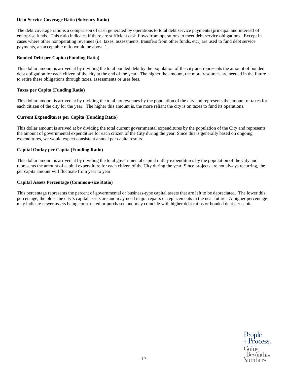# **Debt Service Coverage Ratio (Solvency Ratio)**

The debt coverage ratio is a comparison of cash generated by operations to total debt service payments (principal and interest) of enterprise funds. This ratio indicates if there are sufficient cash flows from operations to meet debt service obligations. Except in cases where other nonoperating revenues (i.e. taxes, assessments, transfers from other funds, etc.) are used to fund debt service payments, an acceptable ratio would be above 1.

# **Bonded Debt per Capita (Funding Ratio)**

This dollar amount is arrived at by dividing the total bonded debt by the population of the city and represents the amount of bonded debt obligation for each citizen of the city at the end of the year. The higher the amount, the more resources are needed in the future to retire these obligations through taxes, assessments or user fees.

## **Taxes per Capita (Funding Ratio)**

This dollar amount is arrived at by dividing the total tax revenues by the population of the city and represents the amount of taxes for each citizen of the city for the year. The higher this amount is, the more reliant the city is on taxes to fund its operations.

#### **Current Expenditures per Capita (Funding Ratio)**

This dollar amount is arrived at by dividing the total current governmental expenditures by the population of the City and represents the amount of governmental expenditure for each citizen of the City during the year. Since this is generally based on ongoing expenditures, we would expect consistent annual per capita results.

#### **Capital Outlay per Capita (Funding Ratio)**

This dollar amount is arrived at by dividing the total governmental capital outlay expenditures by the population of the City and represents the amount of capital expenditure for each citizen of the City during the year. Since projects are not always recurring, the per capita amount will fluctuate from year to year.

#### **Capital Assets Percentage (Common-size Ratio)**

This percentage represents the percent of governmental or business-type capital assets that are left to be depreciated. The lower this percentage, the older the city's capital assets are and may need major repairs or replacements in the near future. A higher percentage may indicate newer assets being constructed or purchased and may coincide with higher debt ratios or bonded debt per capita.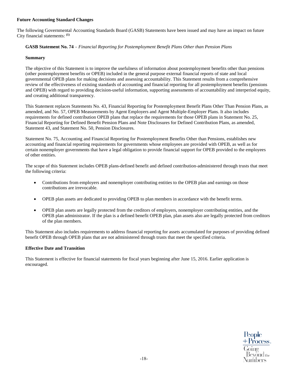# **Future Accounting Standard Changes**

The following Governmental Accounting Standards Board (GASB) Statements have been issued and may have an impact on future City financial statements: **(1)** 

# **GASB Statement No. 74** - *Financial Reporting for Postemployment Benefit Plans Other than Pension Plans*

# **Summary**

The objective of this Statement is to improve the usefulness of information about postemployment benefits other than pensions (other postemployment benefits or OPEB) included in the general purpose external financial reports of state and local governmental OPEB plans for making decisions and assessing accountability. This Statement results from a comprehensive review of the effectiveness of existing standards of accounting and financial reporting for all postemployment benefits (pensions and OPEB) with regard to providing decision-useful information, supporting assessments of accountability and interperiod equity, and creating additional transparency.

This Statement replaces Statements No. 43, Financial Reporting for Postemployment Benefit Plans Other Than Pension Plans, as amended, and No. 57, OPEB Measurements by Agent Employers and Agent Multiple-Employer Plans. It also includes requirements for defined contribution OPEB plans that replace the requirements for those OPEB plans in Statement No. 25, Financial Reporting for Defined Benefit Pension Plans and Note Disclosures for Defined Contribution Plans, as amended, Statement 43, and Statement No. 50, Pension Disclosures.

Statement No. 75, Accounting and Financial Reporting for Postemployment Benefits Other than Pensions, establishes new accounting and financial reporting requirements for governments whose employees are provided with OPEB, as well as for certain nonemployer governments that have a legal obligation to provide financial support for OPEB provided to the employees of other entities.

The scope of this Statement includes OPEB plans-defined benefit and defined contribution-administered through trusts that meet the following criteria:

- Contributions from employers and nonemployer contributing entities to the OPEB plan and earnings on those contributions are irrevocable.
- OPEB plan assets are dedicated to providing OPEB to plan members in accordance with the benefit terms.
- OPEB plan assets are legally protected from the creditors of employers, nonemployer contributing entities, and the OPEB plan administrator. If the plan is a defined benefit OPEB plan, plan assets also are legally protected from creditors of the plan members.

This Statement also includes requirements to address financial reporting for assets accumulated for purposes of providing defined benefit OPEB through OPEB plans that are not administered through trusts that meet the specified criteria.

# **Effective Date and Transition**

This Statement is effective for financial statements for fiscal years beginning after June 15, 2016. Earlier application is encouraged.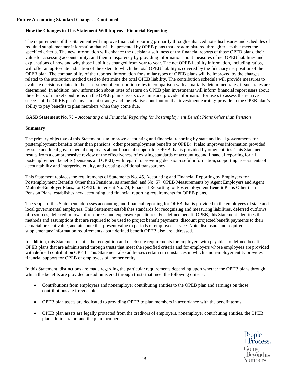## **How the Changes in This Statement Will Improve Financial Reporting**

The requirements of this Statement will improve financial reporting primarily through enhanced note disclosures and schedules of required supplementary information that will be presented by OPEB plans that are administered through trusts that meet the specified criteria. The new information will enhance the decision-usefulness of the financial reports of those OPEB plans, their value for assessing accountability, and their transparency by providing information about measures of net OPEB liabilities and explanations of how and why those liabilities changed from year to year. The net OPEB liability information, including ratios, will offer an up-to-date indication of the extent to which the total OPEB liability is covered by the fiduciary net position of the OPEB plan. The comparability of the reported information for similar types of OPEB plans will be improved by the changes related to the attribution method used to determine the total OPEB liability. The contribution schedule will provide measures to evaluate decisions related to the assessment of contribution rates in comparison with actuarially determined rates, if such rates are determined. In addition, new information about rates of return on OPEB plan investments will inform financial report users about the effects of market conditions on the OPEB plan's assets over time and provide information for users to assess the relative success of the OPEB plan's investment strategy and the relative contribution that investment earnings provide to the OPEB plan's ability to pay benefits to plan members when they come due.

**GASB Statement No. 75** - *Accounting and Financial Reporting for Postemployment Benefit Plans Other than Pension*

#### **Summary**

The primary objective of this Statement is to improve accounting and financial reporting by state and local governments for postemployment benefits other than pensions (other postemployment benefits or OPEB). It also improves information provided by state and local governmental employers about financial support for OPEB that is provided by other entities. This Statement results from a comprehensive review of the effectiveness of existing standards of accounting and financial reporting for all postemployment benefits (pensions and OPEB) with regard to providing decision-useful information, supporting assessments of accountability and interperiod equity, and creating additional transparency.

This Statement replaces the requirements of Statements No. 45, Accounting and Financial Reporting by Employers for Postemployment Benefits Other than Pensions, as amended, and No. 57, OPEB Measurements by Agent Employers and Agent Multiple-Employer Plans, for OPEB. Statement No. 74, Financial Reporting for Postemployment Benefit Plans Other than Pension Plans, establishes new accounting and financial reporting requirements for OPEB plans.

The scope of this Statement addresses accounting and financial reporting for OPEB that is provided to the employees of state and local governmental employers. This Statement establishes standards for recognizing and measuring liabilities, deferred outflows of resources, deferred inflows of resources, and expense/expenditures. For defined benefit OPEB, this Statement identifies the methods and assumptions that are required to be used to project benefit payments, discount projected benefit payments to their actuarial present value, and attribute that present value to periods of employee service. Note disclosure and required supplementary information requirements about defined benefit OPEB also are addressed.

In addition, this Statement details the recognition and disclosure requirements for employers with payables to defined benefit OPEB plans that are administered through trusts that meet the specified criteria and for employers whose employees are provided with defined contribution OPEB. This Statement also addresses certain circumstances in which a nonemployer entity provides financial support for OPEB of employees of another entity.

In this Statement, distinctions are made regarding the particular requirements depending upon whether the OPEB plans through which the benefits are provided are administered through trusts that meet the following criteria:

- Contributions from employers and nonemployer contributing entities to the OPEB plan and earnings on those contributions are irrevocable.
- OPEB plan assets are dedicated to providing OPEB to plan members in accordance with the benefit terms.
- OPEB plan assets are legally protected from the creditors of employers, nonemployer contributing entities, the OPEB plan administrator, and the plan members.

People<br>+Process. Going Bevond<sub>the</sub> Numbers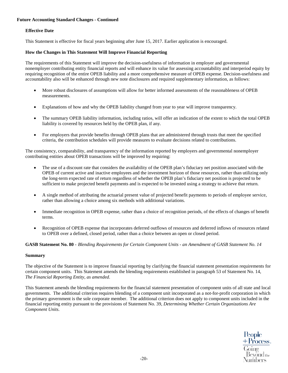# **Effective Date**

This Statement is effective for fiscal years beginning after June 15, 2017. Earlier application is encouraged.

# **How the Changes in This Statement Will Improve Financial Reporting**

The requirements of this Statement will improve the decision-usefulness of information in employer and governmental nonemployer contributing entity financial reports and will enhance its value for assessing accountability and interperiod equity by requiring recognition of the entire OPEB liability and a more comprehensive measure of OPEB expense. Decision-usefulness and accountability also will be enhanced through new note disclosures and required supplementary information, as follows:

- More robust disclosures of assumptions will allow for better informed assessments of the reasonableness of OPEB measurements.
- Explanations of how and why the OPEB liability changed from year to year will improve transparency.
- The summary OPEB liability information, including ratios, will offer an indication of the extent to which the total OPEB liability is covered by resources held by the OPEB plan, if any.
- For employers that provide benefits through OPEB plans that are administered through trusts that meet the specified criteria, the contribution schedules will provide measures to evaluate decisions related to contributions.

The consistency, comparability, and transparency of the information reported by employers and governmental nonemployer contributing entities about OPEB transactions will be improved by requiring:

- The use of a discount rate that considers the availability of the OPEB plan's fiduciary net position associated with the OPEB of current active and inactive employees and the investment horizon of those resources, rather than utilizing only the long-term expected rate of return regardless of whether the OPEB plan's fiduciary net position is projected to be sufficient to make projected benefit payments and is expected to be invested using a strategy to achieve that return.
- A single method of attributing the actuarial present value of projected benefit payments to periods of employee service, rather than allowing a choice among six methods with additional variations.
- Immediate recognition in OPEB expense, rather than a choice of recognition periods, of the effects of changes of benefit terms.
- Recognition of OPEB expense that incorporates deferred outflows of resources and deferred inflows of resources related to OPEB over a defined, closed period, rather than a choice between an open or closed period.

# **GASB Statement No. 80** - *Blending Requirements for Certain Component Units - an Amendment of GASB Statement No. 14*

# **Summary**

The objective of the Statement is to improve financial reporting by clarifying the financial statement presentation requirements for certain component units. This Statement amends the blending requirements established in paragraph 53 of Statement No. 14, *The Financial Reporting Entity, as amended*.

This Statement amends the blending requirements for the financial statement presentation of component units of all state and local governments. The additional criterion requires blending of a component unit incorporated as a not-for-profit corporation in which the primary government is the sole corporate member. The additional criterion does not apply to component units included in the financial reporting entity pursuant to the provisions of Statement No. 39, *Determining Whether Certain Organizations Are Component Units*.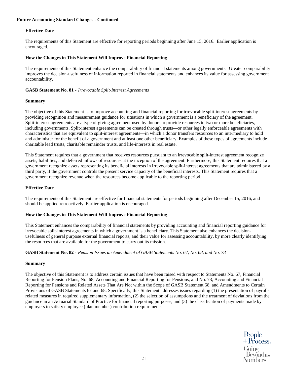# **Effective Date**

The requirements of this Statement are effective for reporting periods beginning after June 15, 2016. Earlier application is encouraged.

## **How the Changes in This Statement Will Improve Financial Reporting**

The requirements of this Statement enhance the comparability of financial statements among governments. Greater comparability improves the decision-usefulness of information reported in financial statements and enhances its value for assessing government accountability.

#### **GASB Statement No. 81** - *Irrevocable Split-Interest Agreements*

#### **Summary**

The objective of this Statement is to improve accounting and financial reporting for irrevocable split-interest agreements by providing recognition and measurement guidance for situations in which a government is a beneficiary of the agreement. Split-interest agreements are a type of giving agreement used by donors to provide resources to two or more beneficiaries, including governments. Split-interest agreements can be created through trusts—or other legally enforceable agreements with characteristics that are equivalent to split-interest agreements—in which a donor transfers resources to an intermediary to hold and administer for the benefit of a government and at least one other beneficiary. Examples of these types of agreements include charitable lead trusts, charitable remainder trusts, and life-interests in real estate.

This Statement requires that a government that receives resources pursuant to an irrevocable split-interest agreement recognize assets, liabilities, and deferred inflows of resources at the inception of the agreement. Furthermore, this Statement requires that a government recognize assets representing its beneficial interests in irrevocable split-interest agreements that are administered by a third party, if the government controls the present service capacity of the beneficial interests. This Statement requires that a government recognize revenue when the resources become applicable to the reporting period.

# **Effective Date**

The requirements of this Statement are effective for financial statements for periods beginning after December 15, 2016, and should be applied retroactively. Earlier application is encouraged.

# **How the Changes in This Statement Will Improve Financial Reporting**

This Statement enhances the comparability of financial statements by providing accounting and financial reporting guidance for irrevocable split-interest agreements in which a government is a beneficiary. This Statement also enhances the decisionusefulness of general purpose external financial reports, and their value for assessing accountability, by more clearly identifying the resources that are available for the government to carry out its mission.

**GASB Statement No. 82** - *Pension Issues an Amendment of GASB Statements No. 67, No. 68, and No. 73*

#### **Summary**

The objective of this Statement is to address certain issues that have been raised with respect to Statements No. 67, Financial Reporting for Pension Plans, No. 68, Accounting and Financial Reporting for Pensions, and No. 73, Accounting and Financial Reporting for Pensions and Related Assets That Are Not within the Scope of GASB Statement 68, and Amendments to Certain Provisions of GASB Statements 67 and 68. Specifically, this Statement addresses issues regarding (1) the presentation of payrollrelated measures in required supplementary information, (2) the selection of assumptions and the treatment of deviations from the guidance in an Actuarial Standard of Practice for financial reporting purposes, and (3) the classification of payments made by employers to satisfy employee (plan member) contribution requirements.

> People + Process. Going Bevond<sub>the</sub> Numbers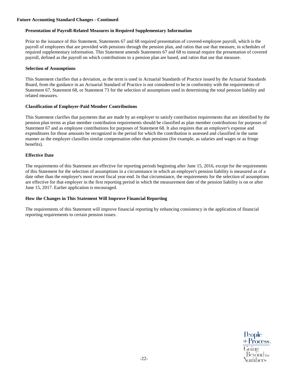# **Presentation of Payroll-Related Measures in Required Supplementary Information**

Prior to the issuance of this Statement, Statements 67 and 68 required presentation of covered-employee payroll, which is the payroll of employees that are provided with pensions through the pension plan, and ratios that use that measure, in schedules of required supplementary information. This Statement amends Statements 67 and 68 to instead require the presentation of covered payroll, defined as the payroll on which contributions to a pension plan are based, and ratios that use that measure.

# **Selection of Assumptions**

This Statement clarifies that a deviation, as the term is used in Actuarial Standards of Practice issued by the Actuarial Standards Board, from the guidance in an Actuarial Standard of Practice is not considered to be in conformity with the requirements of Statement 67, Statement 68, or Statement 73 for the selection of assumptions used in determining the total pension liability and related measures.

# **Classification of Employer-Paid Member Contributions**

This Statement clarifies that payments that are made by an employer to satisfy contribution requirements that are identified by the pension plan terms as plan member contribution requirements should be classified as plan member contributions for purposes of Statement 67 and as employee contributions for purposes of Statement 68. It also requires that an employer's expense and expenditures for those amounts be recognized in the period for which the contribution is assessed and classified in the same manner as the employer classifies similar compensation other than pensions (for example, as salaries and wages or as fringe benefits).

# **Effective Date**

The requirements of this Statement are effective for reporting periods beginning after June 15, 2016, except for the requirements of this Statement for the selection of assumptions in a circumstance in which an employer's pension liability is measured as of a date other than the employer's most recent fiscal year-end. In that circumstance, the requirements for the selection of assumptions are effective for that employer in the first reporting period in which the measurement date of the pension liability is on or after June 15, 2017. Earlier application is encouraged.

# **How the Changes in This Statement Will Improve Financial Reporting**

The requirements of this Statement will improve financial reporting by enhancing consistency in the application of financial reporting requirements to certain pension issues.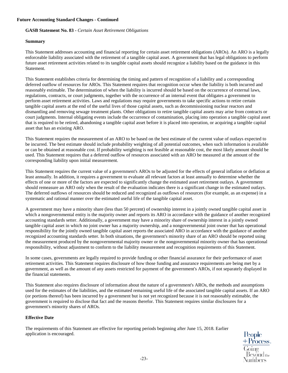# **GASB Statement No. 83 -** *Certain Asset Retirement Obligations*

# **Summary**

This Statement addresses accounting and financial reporting for certain asset retirement obligations (AROs). An ARO is a legally enforceable liability associated with the retirement of a tangible capital asset. A government that has legal obligations to perform future asset retirement activities related to its tangible capital assets should recognize a liability based on the guidance in this Statement.

This Statement establishes criteria for determining the timing and pattern of recognition of a liability and a corresponding deferred outflow of resources for AROs. This Statement requires that recognition occur when the liability is both incurred and reasonably estimable. The determination of when the liability is incurred should be based on the occurrence of external laws, regulations, contracts, or court judgments, together with the occurrence of an internal event that obligates a government to perform asset retirement activities. Laws and regulations may require governments to take specific actions to retire certain tangible capital assets at the end of the useful lives of those capital assets, such as decommissioning nuclear reactors and dismantling and removing sewage treatment plants. Other obligations to retire tangible capital assets may arise from contracts or court judgments. Internal obligating events include the occurrence of contamination, placing into operation a tangible capital asset that is required to be retired, abandoning a tangible capital asset before it is placed into operation, or acquiring a tangible capital asset that has an existing ARO.

This Statement requires the measurement of an ARO to be based on the best estimate of the current value of outlays expected to be incurred. The best estimate should include probability weighting of all potential outcomes, when such information is available or can be obtained at reasonable cost. If probability weighting is not feasible at reasonable cost, the most likely amount should be used. This Statement requires that a deferred outflow of resources associated with an ARO be measured at the amount of the corresponding liability upon initial measurement.

This Statement requires the current value of a government's AROs to be adjusted for the effects of general inflation or deflation at least annually. In addition, it requires a government to evaluate all relevant factors at least annually to determine whether the effects of one or more of the factors are expected to significantly change the estimated asset retirement outlays. A government should remeasure an ARO only when the result of the evaluation indicates there is a significant change in the estimated outlays. The deferred outflows of resources should be reduced and recognized as outflows of resources (for example, as an expense) in a systematic and rational manner over the estimated useful life of the tangible capital asset.

A government may have a minority share (less than 50 percent) of ownership interest in a jointly owned tangible capital asset in which a nongovernmental entity is the majority owner and reports its ARO in accordance with the guidance of another recognized accounting standards setter. Additionally, a government may have a minority share of ownership interest in a jointly owned tangible capital asset in which no joint owner has a majority ownership, and a nongovernmental joint owner that has operational responsibility for the jointly owned tangible capital asset reports the associated ARO in accordance with the guidance of another recognized accounting standards setter. In both situations, the government's minority share of an ARO should be reported using the measurement produced by the nongovernmental majority owner or the nongovernmental minority owner that has operational responsibility, without adjustment to conform to the liability measurement and recognition requirements of this Statement.

In some cases, governments are legally required to provide funding or other financial assurance for their performance of asset retirement activities. This Statement requires disclosure of how those funding and assurance requirements are being met by a government, as well as the amount of any assets restricted for payment of the government's AROs, if not separately displayed in the financial statements.

This Statement also requires disclosure of information about the nature of a government's AROs, the methods and assumptions used for the estimates of the liabilities, and the estimated remaining useful life of the associated tangible capital assets. If an ARO (or portions thereof) has been incurred by a government but is not yet recognized because it is not reasonably estimable, the government is required to disclose that fact and the reasons therefor. This Statement requires similar disclosures for a government's minority shares of AROs.

# **Effective Date**

The requirements of this Statement are effective for reporting periods beginning after June 15, 2018. Earlier application is encouraged.

People + Process.  $\operatorname{Bevond}_{\text{the}}$